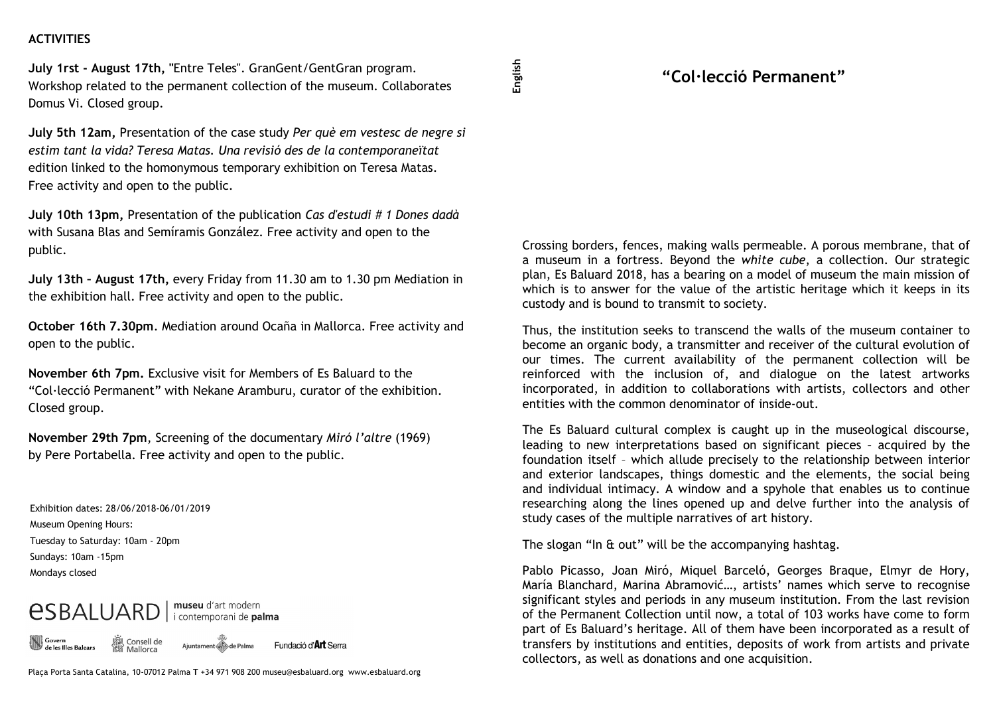## **ACTIVITIES**

**July 1rst - August 17th, "**Entre Teles". GranGent/GentGran program. Workshop related to the permanent collection of the museum. Collaborates Domus Vi. Closed group.

**July 5th 12am,** Presentation of the case study *Per què em vestesc de negre si estim tant la vida? Teresa Matas. Una revisió des de la contemporaneïtat*  edition linked to the homonymous temporary exhibition on Teresa Matas. Free activity and open to the public.

**July 10th 13pm,** Presentation of the publication *Cas d'estudi # 1 Dones dadà*  with Susana Blas and Semíramis González. Free activity and open to the public.

**July 13th – August 17th,** every Friday from 11.30 am to 1.30 pm Mediation in the exhibition hall. Free activity and open to the public.

**October 16th 7.30pm**. Mediation around Ocaña in Mallorca. Free activity and open to the public.

**November 6th 7pm.** Exclusive visit for Members of Es Baluard to the "Col·lecció Permanent" with Nekane Aramburu, curator of the exhibition. Closed group.

**November 29th 7pm**, Screening of the documentary *Miró l'altre* (1969) by Pere Portabella. Free activity and open to the public.

Exhibition dates: 28/06/2018-06/01/2019 Museum Opening Hours: Tuesday to Saturday: 10am - 20pm Sundays: 10am -15pm Mondays closed

## museu d'art modern *<u>ESBALUARD</u>* i contemporani de palma

Consell de

Govern<br>de les Illes Balears

Ajuntament de Palma Fundació d'**Art** Serra

Plaça Porta Santa Catalina, 10-07012 Palma **T** +34 971 908 200 museu@esbaluard.org www.esbaluard.org

## **"Col·lecció Permanent"**

Crossing borders, fences, making walls permeable. A porous membrane, that of a museum in a fortress. Beyond the *white cube*, a collection. Our strategic plan, Es Baluard 2018, has a bearing on a model of museum the main mission of which is to answer for the value of the artistic heritage which it keeps in its custody and is bound to transmit to society.

Thus, the institution seeks to transcend the walls of the museum container to become an organic body, a transmitter and receiver of the cultural evolution of our times. The current availability of the permanent collection will be reinforced with the inclusion of, and dialogue on the latest artworks incorporated, in addition to collaborations with artists, collectors and other entities with the common denominator of inside-out.

The Es Baluard cultural complex is caught up in the museological discourse, leading to new interpretations based on significant pieces – acquired by the foundation itself – which allude precisely to the relationship between interior and exterior landscapes, things domestic and the elements, the social being and individual intimacy. A window and a spyhole that enables us to continue researching along the lines opened up and delve further into the analysis of study cases of the multiple narratives of art history.

The slogan "In & out" will be the accompanying hashtag.

Pablo Picasso, Joan Miró, Miquel Barceló, Georges Braque, Elmyr de Hory, María Blanchard, Marina Abramović…, artists' names which serve to recognise significant styles and periods in any museum institution. From the last revision of the Permanent Collection until now, a total of 103 works have come to form part of Es Baluard's heritage. All of them have been incorporated as a result of transfers by institutions and entities, deposits of work from artists and private collectors, as well as donations and one acquisition.